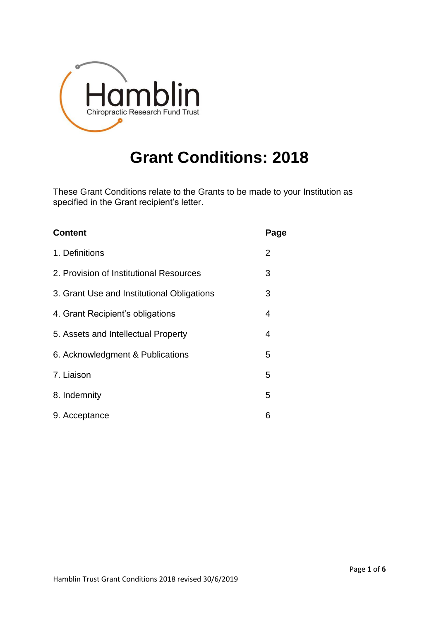

# **Grant Conditions: 2018**

These Grant Conditions relate to the Grants to be made to your Institution as specified in the Grant recipient's letter.

| <b>Content</b>                             | Page |
|--------------------------------------------|------|
| 1. Definitions                             | 2    |
| 2. Provision of Institutional Resources    | 3    |
| 3. Grant Use and Institutional Obligations | 3    |
| 4. Grant Recipient's obligations           | 4    |
| 5. Assets and Intellectual Property        | 4    |
| 6. Acknowledgment & Publications           | 5    |
| 7. Liaison                                 | 5    |
| 8. Indemnity                               | 5    |
| 9. Acceptance                              | 6    |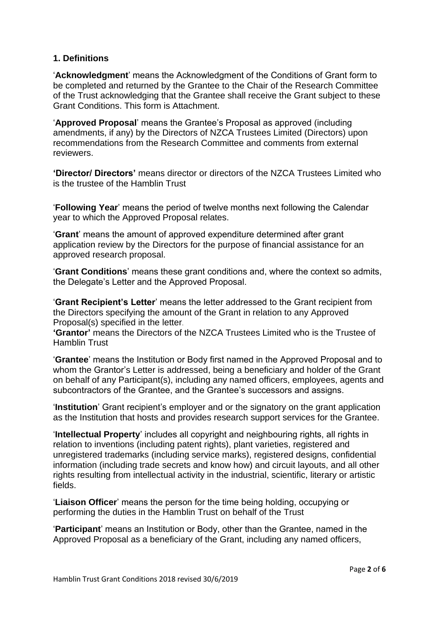## **1. Definitions**

'**Acknowledgment**' means the Acknowledgment of the Conditions of Grant form to be completed and returned by the Grantee to the Chair of the Research Committee of the Trust acknowledging that the Grantee shall receive the Grant subject to these Grant Conditions. This form is Attachment.

'**Approved Proposal**' means the Grantee's Proposal as approved (including amendments, if any) by the Directors of NZCA Trustees Limited (Directors) upon recommendations from the Research Committee and comments from external reviewers.

**'Director/ Directors'** means director or directors of the NZCA Trustees Limited who is the trustee of the Hamblin Trust

'**Following Year**' means the period of twelve months next following the Calendar year to which the Approved Proposal relates.

'**Grant**' means the amount of approved expenditure determined after grant application review by the Directors for the purpose of financial assistance for an approved research proposal.

'**Grant Conditions**' means these grant conditions and, where the context so admits, the Delegate's Letter and the Approved Proposal.

'**Grant Recipient's Letter**' means the letter addressed to the Grant recipient from the Directors specifying the amount of the Grant in relation to any Approved Proposal(s) specified in the letter.

**'Grantor'** means the Directors of the NZCA Trustees Limited who is the Trustee of Hamblin Trust

'**Grantee**' means the Institution or Body first named in the Approved Proposal and to whom the Grantor's Letter is addressed, being a beneficiary and holder of the Grant on behalf of any Participant(s), including any named officers, employees, agents and subcontractors of the Grantee, and the Grantee's successors and assigns.

'**Institution**' Grant recipient's employer and or the signatory on the grant application as the Institution that hosts and provides research support services for the Grantee.

'**Intellectual Property**' includes all copyright and neighbouring rights, all rights in relation to inventions (including patent rights), plant varieties, registered and unregistered trademarks (including service marks), registered designs, confidential information (including trade secrets and know how) and circuit layouts, and all other rights resulting from intellectual activity in the industrial, scientific, literary or artistic fields.

'**Liaison Officer**' means the person for the time being holding, occupying or performing the duties in the Hamblin Trust on behalf of the Trust

'**Participant**' means an Institution or Body, other than the Grantee, named in the Approved Proposal as a beneficiary of the Grant, including any named officers,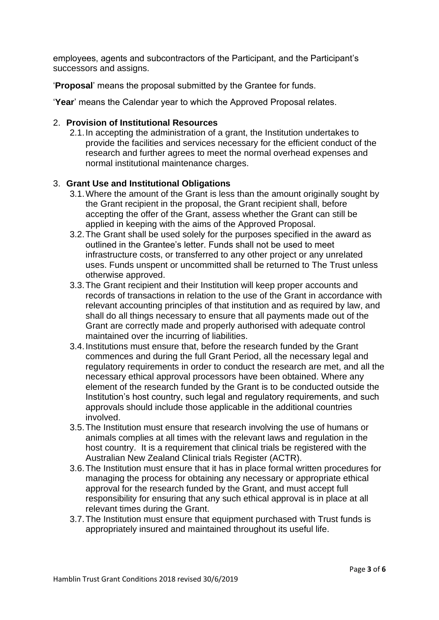employees, agents and subcontractors of the Participant, and the Participant's successors and assigns.

'**Proposal**' means the proposal submitted by the Grantee for funds.

'**Year**' means the Calendar year to which the Approved Proposal relates.

#### 2. **Provision of Institutional Resources**

2.1.In accepting the administration of a grant, the Institution undertakes to provide the facilities and services necessary for the efficient conduct of the research and further agrees to meet the normal overhead expenses and normal institutional maintenance charges.

#### 3. **Grant Use and Institutional Obligations**

- 3.1.Where the amount of the Grant is less than the amount originally sought by the Grant recipient in the proposal, the Grant recipient shall, before accepting the offer of the Grant, assess whether the Grant can still be applied in keeping with the aims of the Approved Proposal.
- 3.2.The Grant shall be used solely for the purposes specified in the award as outlined in the Grantee's letter. Funds shall not be used to meet infrastructure costs, or transferred to any other project or any unrelated uses. Funds unspent or uncommitted shall be returned to The Trust unless otherwise approved.
- 3.3.The Grant recipient and their Institution will keep proper accounts and records of transactions in relation to the use of the Grant in accordance with relevant accounting principles of that institution and as required by law, and shall do all things necessary to ensure that all payments made out of the Grant are correctly made and properly authorised with adequate control maintained over the incurring of liabilities.
- 3.4.Institutions must ensure that, before the research funded by the Grant commences and during the full Grant Period, all the necessary legal and regulatory requirements in order to conduct the research are met, and all the necessary ethical approval processors have been obtained. Where any element of the research funded by the Grant is to be conducted outside the Institution's host country, such legal and regulatory requirements, and such approvals should include those applicable in the additional countries involved.
- 3.5.The Institution must ensure that research involving the use of humans or animals complies at all times with the relevant laws and regulation in the host country. It is a requirement that clinical trials be registered with the Australian New Zealand Clinical trials Register (ACTR).
- 3.6.The Institution must ensure that it has in place formal written procedures for managing the process for obtaining any necessary or appropriate ethical approval for the research funded by the Grant, and must accept full responsibility for ensuring that any such ethical approval is in place at all relevant times during the Grant.
- 3.7.The Institution must ensure that equipment purchased with Trust funds is appropriately insured and maintained throughout its useful life.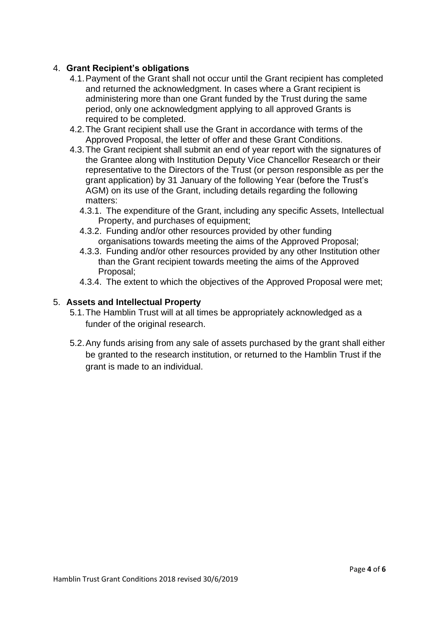## 4. **Grant Recipient's obligations**

- 4.1.Payment of the Grant shall not occur until the Grant recipient has completed and returned the acknowledgment. In cases where a Grant recipient is administering more than one Grant funded by the Trust during the same period, only one acknowledgment applying to all approved Grants is required to be completed.
- 4.2.The Grant recipient shall use the Grant in accordance with terms of the Approved Proposal, the letter of offer and these Grant Conditions.
- 4.3.The Grant recipient shall submit an end of year report with the signatures of the Grantee along with Institution Deputy Vice Chancellor Research or their representative to the Directors of the Trust (or person responsible as per the grant application) by 31 January of the following Year (before the Trust's AGM) on its use of the Grant, including details regarding the following matters:
	- 4.3.1. The expenditure of the Grant, including any specific Assets, Intellectual Property, and purchases of equipment;
	- 4.3.2. Funding and/or other resources provided by other funding organisations towards meeting the aims of the Approved Proposal;
	- 4.3.3. Funding and/or other resources provided by any other Institution other than the Grant recipient towards meeting the aims of the Approved Proposal;
	- 4.3.4. The extent to which the objectives of the Approved Proposal were met;

#### 5. **Assets and Intellectual Property**

- 5.1.The Hamblin Trust will at all times be appropriately acknowledged as a funder of the original research.
- 5.2.Any funds arising from any sale of assets purchased by the grant shall either be granted to the research institution, or returned to the Hamblin Trust if the grant is made to an individual.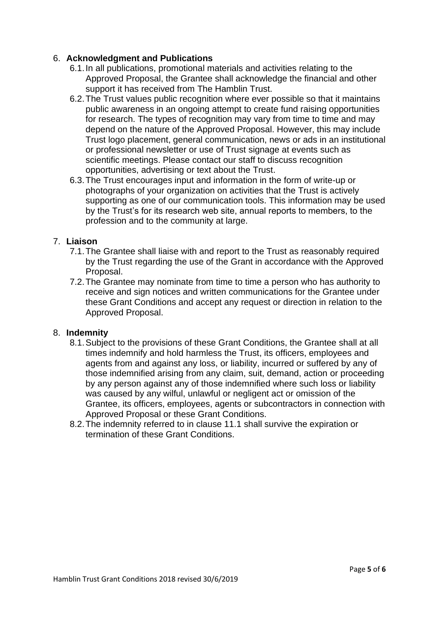## 6. **Acknowledgment and Publications**

- 6.1.In all publications, promotional materials and activities relating to the Approved Proposal, the Grantee shall acknowledge the financial and other support it has received from The Hamblin Trust.
- 6.2.The Trust values public recognition where ever possible so that it maintains public awareness in an ongoing attempt to create fund raising opportunities for research. The types of recognition may vary from time to time and may depend on the nature of the Approved Proposal. However, this may include Trust logo placement, general communication, news or ads in an institutional or professional newsletter or use of Trust signage at events such as scientific meetings. Please contact our staff to discuss recognition opportunities, advertising or text about the Trust.
- 6.3.The Trust encourages input and information in the form of write-up or photographs of your organization on activities that the Trust is actively supporting as one of our communication tools. This information may be used by the Trust's for its research web site, annual reports to members, to the profession and to the community at large.

## 7. **Liaison**

- 7.1.The Grantee shall liaise with and report to the Trust as reasonably required by the Trust regarding the use of the Grant in accordance with the Approved Proposal.
- 7.2.The Grantee may nominate from time to time a person who has authority to receive and sign notices and written communications for the Grantee under these Grant Conditions and accept any request or direction in relation to the Approved Proposal.

## 8. **Indemnity**

- 8.1.Subject to the provisions of these Grant Conditions, the Grantee shall at all times indemnify and hold harmless the Trust, its officers, employees and agents from and against any loss, or liability, incurred or suffered by any of those indemnified arising from any claim, suit, demand, action or proceeding by any person against any of those indemnified where such loss or liability was caused by any wilful, unlawful or negligent act or omission of the Grantee, its officers, employees, agents or subcontractors in connection with Approved Proposal or these Grant Conditions.
- 8.2.The indemnity referred to in clause 11.1 shall survive the expiration or termination of these Grant Conditions.